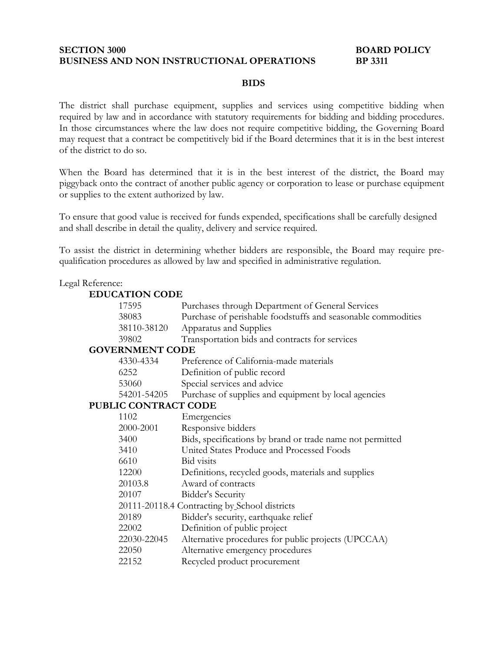### **SECTION 3000 BOARD POLICY BUSINESS AND NON INSTRUCTIONAL OPERATIONS BP 3311**

## **BIDS**

The district shall purchase equipment, supplies and services using competitive bidding when required by law and in accordance with statutory requirements for bidding and bidding procedures. In those circumstances where the law does not require competitive bidding, the Governing Board may request that a contract be competitively bid if the Board determines that it is in the best interest of the district to do so.

When the Board has determined that it is in the best interest of the district, the Board may piggyback onto the contract of another public agency or corporation to lease or purchase equipment or supplies to the extent authorized by law.

To ensure that good value is received for funds expended, specifications shall be carefully designed and shall describe in detail the quality, delivery and service required.

To assist the district in determining whether bidders are responsible, the Board may require prequalification procedures as allowed by law and specified in administrative regulation.

### Legal Reference:

### **EDUCATION CODE**

|                        | 17595                                         | Purchases through Department of General Services             |
|------------------------|-----------------------------------------------|--------------------------------------------------------------|
|                        | 38083                                         | Purchase of perishable foodstuffs and seasonable commodities |
|                        | 38110-38120                                   | Apparatus and Supplies                                       |
|                        | 39802                                         | Transportation bids and contracts for services               |
| <b>GOVERNMENT CODE</b> |                                               |                                                              |
|                        | 4330-4334                                     | Preference of California-made materials                      |
|                        | 6252                                          | Definition of public record                                  |
|                        | 53060                                         | Special services and advice                                  |
|                        | 54201-54205                                   | Purchase of supplies and equipment by local agencies         |
| PUBLIC CONTRACT CODE   |                                               |                                                              |
|                        | 1102                                          | Emergencies                                                  |
|                        | 2000-2001                                     | Responsive bidders                                           |
|                        | 3400                                          | Bids, specifications by brand or trade name not permitted    |
|                        | 3410                                          | United States Produce and Processed Foods                    |
|                        | 6610                                          | <b>Bid</b> visits                                            |
|                        | 12200                                         | Definitions, recycled goods, materials and supplies          |
|                        | 20103.8                                       | Award of contracts                                           |
|                        | 20107                                         | <b>Bidder's Security</b>                                     |
|                        | 20111-20118.4 Contracting by School districts |                                                              |
|                        | 20189                                         | Bidder's security, earthquake relief                         |
|                        | 22002                                         | Definition of public project                                 |
|                        | 22030-22045                                   | Alternative procedures for public projects (UPCCAA)          |
|                        | 22050                                         | Alternative emergency procedures                             |
|                        | 22152                                         | Recycled product procurement                                 |